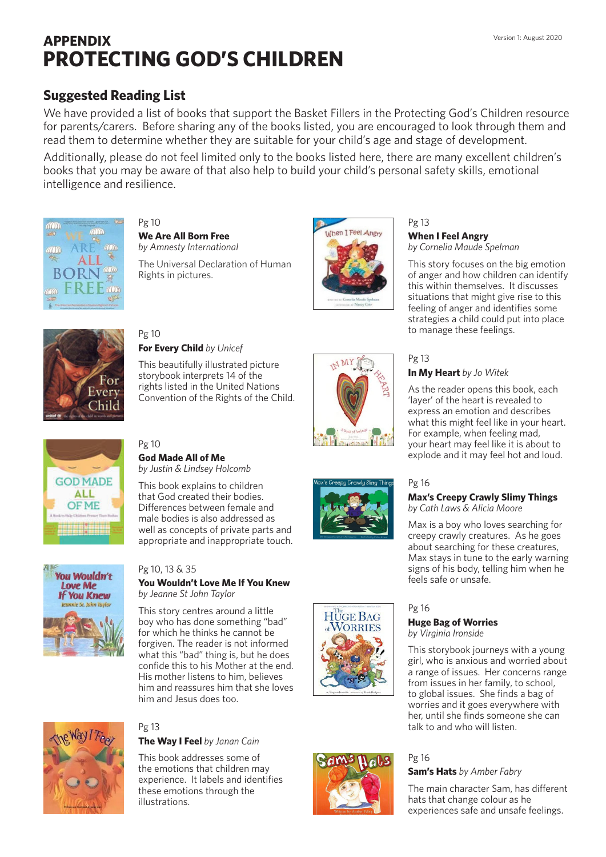# **APPENDIX PROTECTING GOD'S CHILDREN**

# **Suggested Reading List**

We have provided a list of books that support the Basket Fillers in the Protecting God's Children resource for parents/carers. Before sharing any of the books listed, you are encouraged to look through them and read them to determine whether they are suitable for your child's age and stage of development.

Additionally, please do not feel limited only to the books listed here, there are many excellent children's books that you may be aware of that also help to build your child's personal safety skills, emotional intelligence and resilience.



Pg 10 **We Are All Born Free**  *by Amnesty International*

The Universal Declaration of Human Rights in pictures.



Pg 13 **When I Feel Angry**  *by Cornelia Maude Spelman* 

**In My Heart** *by Jo Witek* 

This story focuses on the big emotion of anger and how children can identify this within themselves. It discusses situations that might give rise to this feeling of anger and identifies some strategies a child could put into place to manage these feelings.

As the reader opens this book, each 'layer' of the heart is revealed to express an emotion and describes what this might feel like in your heart. For example, when feeling mad, your heart may feel like it is about to explode and it may feel hot and loud.



#### Pg 10 **For Every Child** *by Unicef*

This beautifully illustrated picture storybook interprets 14 of the rights listed in the United Nations Convention of the Rights of the Child.





# Pg 10 **God Made All of Me**

*by Justin & Lindsey Holcomb*

This book explains to children that God created their bodies. Differences between female and male bodies is also addressed as well as concepts of private parts and appropriate and inappropriate touch.

Pg 10, 13 & 35

#### **You Wouldn't Love Me If You Knew**  *by Jeanne St John Taylor*

This story centres around a little boy who has done something "bad" for which he thinks he cannot be forgiven. The reader is not informed what this "bad" thing is, but he does confide this to his Mother at the end. His mother listens to him, believes him and reassures him that she loves him and Jesus does too.



# Pg 13

**The Way I Feel** *by Janan Cain*

This book addresses some of the emotions that children may experience. It labels and identifies these emotions through the illustrations.







## **Max's Creepy Crawly Slimy Things**  *by Cath Laws & Alicia Moore*

Max is a boy who loves searching for creepy crawly creatures. As he goes about searching for these creatures, Max stays in tune to the early warning signs of his body, telling him when he feels safe or unsafe.

# Pg 16

Pg 13

Pg 16

#### **Huge Bag of Worries**  *by Virginia Ironside*

This storybook journeys with a young girl, who is anxious and worried about a range of issues. Her concerns range from issues in her family, to school, to global issues. She finds a bag of worries and it goes everywhere with her, until she finds someone she can talk to and who will listen.

#### Pg 16 **Sam's Hats** *by Amber Fabry*

The main character Sam, has different hats that change colour as he experiences safe and unsafe feelings.



**HUGE BAG** 

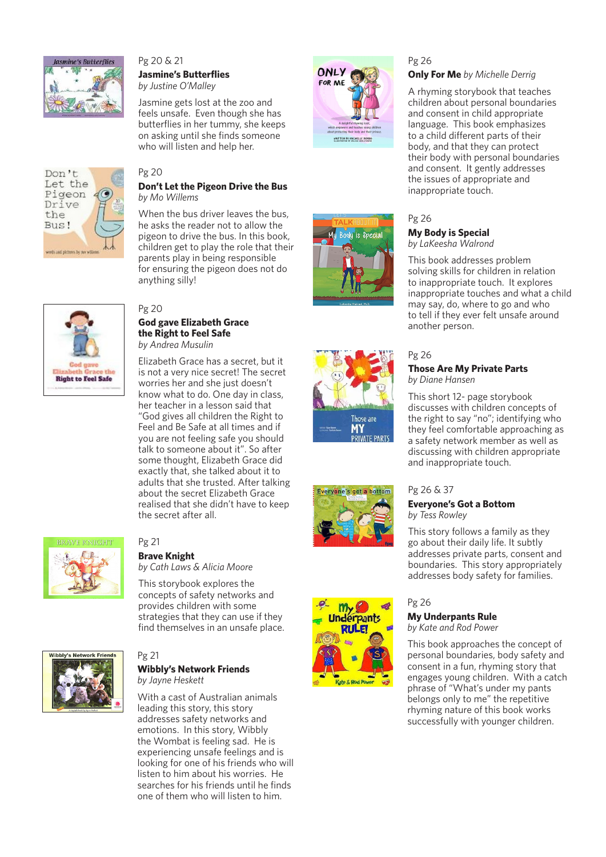

Don't Let the Pigeon Drive the Bus!

woods and plebates by not willer

#### Pg 20 & 21 **Jasmine's Butterflies** *by Justine O'Malley*

Jasmine gets lost at the zoo and feels unsafe. Even though she has butterflies in her tummy, she keeps on asking until she finds someone who will listen and help her.

**Don't Let the Pigeon Drive the Bus**

When the bus driver leaves the bus, he asks the reader not to allow the pigeon to drive the bus. In this book, children get to play the role that their parents play in being responsible for ensuring the pigeon does not do





# Those are **MY PRIVATE PARTS**





# Pg 26

## **Only For Me** *by Michelle Derrig*

A rhyming storybook that teaches children about personal boundaries and consent in child appropriate language. This book emphasizes to a child different parts of their body, and that they can protect their body with personal boundaries and consent. It gently addresses the issues of appropriate and inappropriate touch.

#### Pg 26

**My Body is Special**  *by LaKeesha Walrond* 

This book addresses problem solving skills for children in relation to inappropriate touch. It explores inappropriate touches and what a child may say, do, where to go and who to tell if they ever felt unsafe around another person.

### Pg 26

#### **Those Are My Private Parts**  *by Diane Hansen*

This short 12- page storybook discusses with children concepts of the right to say "no"; identifying who they feel comfortable approaching as a safety network member as well as discussing with children appropriate and inappropriate touch.

## Pg 26 & 37

#### **Everyone's Got a Bottom**  *by Tess Rowley*

This story follows a family as they go about their daily life. It subtly addresses private parts, consent and boundaries. This story appropriately addresses body safety for families.

#### Pg 26

# **My Underpants Rule**

*by Kate and Rod Power*

This book approaches the concept of personal boundaries, body safety and consent in a fun, rhyming story that engages young children. With a catch phrase of "What's under my pants belongs only to me" the repetitive rhyming nature of this book works successfully with younger children.



# Pg 20

anything silly!

Pg 20

*by Mo Willems*

**God gave Elizabeth Grace the Right to Feel Safe**  *by Andrea Musulin*

Elizabeth Grace has a secret, but it is not a very nice secret! The secret worries her and she just doesn't know what to do. One day in class, her teacher in a lesson said that "God gives all children the Right to Feel and Be Safe at all times and if you are not feeling safe you should talk to someone about it". So after some thought, Elizabeth Grace did exactly that, she talked about it to adults that she trusted. After talking about the secret Elizabeth Grace realised that she didn't have to keep the secret after all.



## Pg 21

**Brave Knight** *by Cath Laws & Alicia Moore*

This storybook explores the concepts of safety networks and provides children with some strategies that they can use if they find themselves in an unsafe place.



# Pg 21

**Wibbly's Network Friends**  *by Jayne Heskett*

With a cast of Australian animals leading this story, this story addresses safety networks and emotions. In this story, Wibbly the Wombat is feeling sad. He is experiencing unsafe feelings and is looking for one of his friends who will listen to him about his worries. He searches for his friends until he finds one of them who will listen to him.